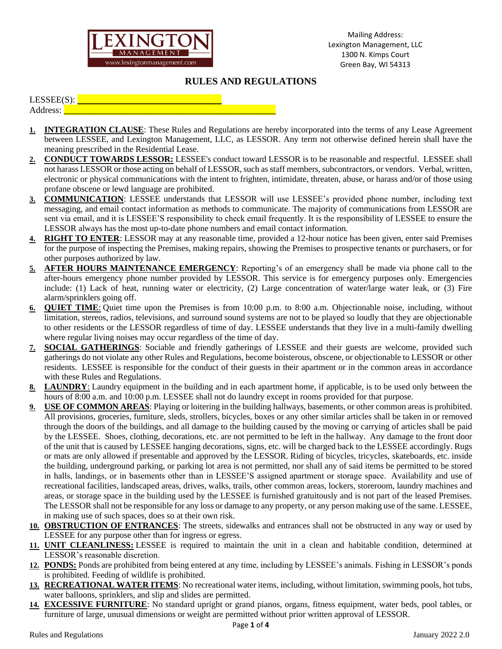

## **RULES AND REGULATIONS**

## $LESSEE(S):$

Address:

- **1. INTEGRATION CLAUSE**: These Rules and Regulations are hereby incorporated into the terms of any Lease Agreement between LESSEE, and Lexington Management, LLC, as LESSOR. Any term not otherwise defined herein shall have the meaning prescribed in the Residential Lease.
- **2. CONDUCT TOWARDS LESSOR:** LESSEE's conduct toward LESSOR is to be reasonable and respectful. LESSEE shall not harass LESSOR or those acting on behalf of LESSOR, such as staff members, subcontractors, or vendors. Verbal, written, electronic or physical communications with the intent to frighten, intimidate, threaten, abuse, or harass and/or of those using profane obscene or lewd language are prohibited.
- **3. COMMUNICATION**: LESSEE understands that LESSOR will use LESSEE's provided phone number, including text messaging, and email contact information as methods to communicate. The majority of communications from LESSOR are sent via email, and it is LESSEE'S responsibility to check email frequently. It is the responsibility of LESSEE to ensure the LESSOR always has the most up-to-date phone numbers and email contact information.
- **4. RIGHT TO ENTER**: LESSOR may at any reasonable time, provided a 12-hour notice has been given, enter said Premises for the purpose of inspecting the Premises, making repairs, showing the Premises to prospective tenants or purchasers, or for other purposes authorized by law.
- **5. AFTER HOURS MAINTENANCE EMERGENCY**: Reporting's of an emergency shall be made via phone call to the after-hours emergency phone number provided by LESSOR. This service is for emergency purposes only. Emergencies include: (1) Lack of heat, running water or electricity, (2) Large concentration of water/large water leak, or (3) Fire alarm/sprinklers going off.
- **6. QUIET TIME**: Quiet time upon the Premises is from 10:00 p.m. to 8:00 a.m. Objectionable noise, including, without limitation, stereos, radios, televisions, and surround sound systems are not to be played so loudly that they are objectionable to other residents or the LESSOR regardless of time of day. LESSEE understands that they live in a multi-family dwelling where regular living noises may occur regardless of the time of day.
- **7. SOCIAL GATHERINGS**: Sociable and friendly gatherings of LESSEE and their guests are welcome, provided such gatherings do not violate any other Rules and Regulations, become boisterous, obscene, or objectionable to LESSOR or other residents. LESSEE is responsible for the conduct of their guests in their apartment or in the common areas in accordance with these Rules and Regulations.
- **8. LAUNDRY**: Laundry equipment in the building and in each apartment home, if applicable, is to be used only between the hours of 8:00 a.m. and 10:00 p.m. LESSEE shall not do laundry except in rooms provided for that purpose.
- **9. USE OF COMMON AREAS**: Playing or loitering in the building hallways, basements, or other common areas is prohibited. All provisions, groceries, furniture, sleds, strollers, bicycles, boxes or any other similar articles shall be taken in or removed through the doors of the buildings, and all damage to the building caused by the moving or carrying of articles shall be paid by the LESSEE. Shoes, clothing, decorations, etc. are not permitted to be left in the hallway. Any damage to the front door of the unit that is caused by LESSEE hanging decorations, signs, etc. will be charged back to the LESSEE accordingly. Rugs or mats are only allowed if presentable and approved by the LESSOR. Riding of bicycles, tricycles, skateboards, etc. inside the building, underground parking, or parking lot area is not permitted, nor shall any of said items be permitted to be stored in halls, landings, or in basements other than in LESSEE'S assigned apartment or storage space. Availability and use of recreational facilities, landscaped areas, drives, walks, trails, other common areas, lockers, storeroom, laundry machines and areas, or storage space in the building used by the LESSEE is furnished gratuitously and is not part of the leased Premises. The LESSOR shall not be responsible for any loss or damage to any property, or any person making use of the same. LESSEE, in making use of such spaces, does so at their own risk.
- **10. OBSTRUCTION OF ENTRANCES**: The streets, sidewalks and entrances shall not be obstructed in any way or used by LESSEE for any purpose other than for ingress or egress.
- **11. UNIT CLEANLINESS:** LESSEE is required to maintain the unit in a clean and habitable condition, determined at LESSOR's reasonable discretion.
- **12. PONDS:** Ponds are prohibited from being entered at any time, including by LESSEE's animals. Fishing in LESSOR's ponds is prohibited. Feeding of wildlife is prohibited.
- **13. RECREATIONAL WATER ITEMS**: No recreational water items, including, without limitation, swimming pools, hot tubs, water balloons, sprinklers, and slip and slides are permitted.
- **14. EXCESSIVE FURNITURE**: No standard upright or grand pianos, organs, fitness equipment, water beds, pool tables, or furniture of large, unusual dimensions or weight are permitted without prior written approval of LESSOR.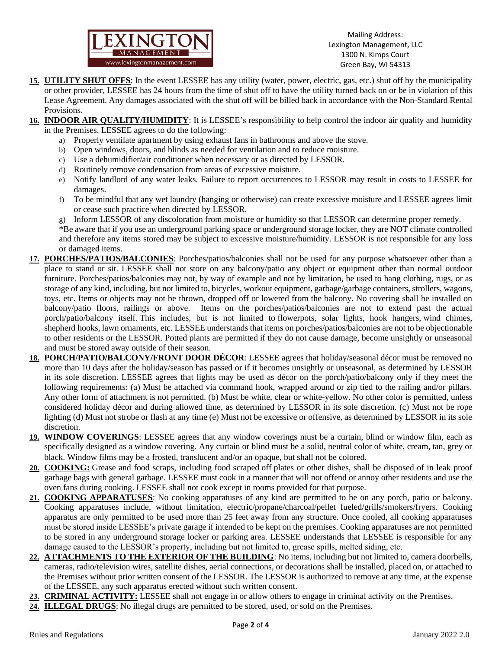

Mailing Address: Lexington Management, LLC 1300 N. Kimps Court Green Bay, WI 54313

- **15. UTILITY SHUT OFFS**: In the event LESSEE has any utility (water, power, electric, gas, etc.) shut off by the municipality or other provider, LESSEE has 24 hours from the time of shut off to have the utility turned back on or be in violation of this Lease Agreement. Any damages associated with the shut off will be billed back in accordance with the Non-Standard Rental Provisions.
- **16. INDOOR AIR QUALITY/HUMIDITY**: It is LESSEE's responsibility to help control the indoor air quality and humidity in the Premises. LESSEE agrees to do the following:
	- a) Properly ventilate apartment by using exhaust fans in bathrooms and above the stove.
	- b) Open windows, doors, and blinds as needed for ventilation and to reduce moisture.
	- c) Use a dehumidifier/air conditioner when necessary or as directed by LESSOR.
	- d) Routinely remove condensation from areas of excessive moisture.
	- e) Notify landlord of any water leaks. Failure to report occurrences to LESSOR may result in costs to LESSEE for damages.
	- f) To be mindful that any wet laundry (hanging or otherwise) can create excessive moisture and LESSEE agrees limit or cease such practice when directed by LESSOR.
	- g) Inform LESSOR of any discoloration from moisture or humidity so that LESSOR can determine proper remedy.

\*Be aware that if you use an underground parking space or underground storage locker, they are NOT climate controlled and therefore any items stored may be subject to excessive moisture/humidity. LESSOR is not responsible for any loss or damaged items.

- **17. PORCHES/PATIOS/BALCONIES**: Porches/patios/balconies shall not be used for any purpose whatsoever other than a place to stand or sit. LESSEE shall not store on any balcony/patio any object or equipment other than normal outdoor furniture. Porches/patios/balconies may not, by way of example and not by limitation, be used to hang clothing, rugs, or as storage of any kind, including, but not limited to, bicycles, workout equipment, garbage/garbage containers, strollers, wagons, toys, etc. Items or objects may not be thrown, dropped off or lowered from the balcony. No covering shall be installed on balcony/patio floors, railings or above. Items on the porches/patios/balconies are not to extend past the actual porch/patio/balcony itself. This includes, but is not limited to flowerpots, solar lights, hook hangers, wind chimes, shepherd hooks, lawn ornaments, etc. LESSEE understands that items on porches/patios/balconies are not to be objectionable to other residents or the LESSOR. Potted plants are permitted if they do not cause damage, become unsightly or unseasonal and must be stored away outside of their season.
- **18. PORCH/PATIO/BALCONY/FRONT DOOR DÉCOR**: LESSEE agrees that holiday/seasonal décor must be removed no more than 10 days after the holiday/season has passed or if it becomes unsightly or unseasonal, as determined by LESSOR in its sole discretion. LESSEE agrees that lights may be used as décor on the porch/patio/balcony only if they meet the following requirements: (a) Must be attached via command hook, wrapped around or zip tied to the railing and/or pillars. Any other form of attachment is not permitted. (b) Must be white, clear or white-yellow. No other color is permitted, unless considered holiday décor and during allowed time, as determined by LESSOR in its sole discretion. (c) Must not be rope lighting (d) Must not strobe or flash at any time (e) Must not be excessive or offensive, as determined by LESSOR in its sole discretion.
- **19. WINDOW COVERINGS**: LESSEE agrees that any window coverings must be a curtain, blind or window film, each as specifically designed as a window covering. Any curtain or blind must be a solid, neutral color of white, cream, tan, grey or black. Window films may be a frosted, translucent and/or an opaque, but shall not be colored.
- **20. COOKING:** Grease and food scraps, including food scraped off plates or other dishes, shall be disposed of in leak proof garbage bags with general garbage. LESSEE must cook in a manner that will not offend or annoy other residents and use the oven fans during cooking. LESSEE shall not cook except in rooms provided for that purpose.
- **21. COOKING APPARATUSES**: No cooking apparatuses of any kind are permitted to be on any porch, patio or balcony. Cooking apparatuses include, without limitation, electric/propane/charcoal/pellet fueled/grills/smokers/fryers. Cooking apparatus are only permitted to be used more than 25 feet away from any structure. Once cooled, all cooking apparatuses must be stored inside LESSEE's private garage if intended to be kept on the premises. Cooking apparatuses are not permitted to be stored in any underground storage locker or parking area. LESSEE understands that LESSEE is responsible for any damage caused to the LESSOR's property, including but not limited to, grease spills, melted siding, etc.
- **22. ATTACHMENTS TO THE EXTERIOR OF THE BUILDING**: No items, including but not limited to, camera doorbells, cameras, radio/television wires, satellite dishes, aerial connections, or decorations shall be installed, placed on, or attached to the Premises without prior written consent of the LESSOR. The LESSOR is authorized to remove at any time, at the expense of the LESSEE, any such apparatus erected without such written consent.
- **23. CRIMINAL ACTIVITY:** LESSEE shall not engage in or allow others to engage in criminal activity on the Premises.
- **24. ILLEGAL DRUGS**: No illegal drugs are permitted to be stored, used, or sold on the Premises.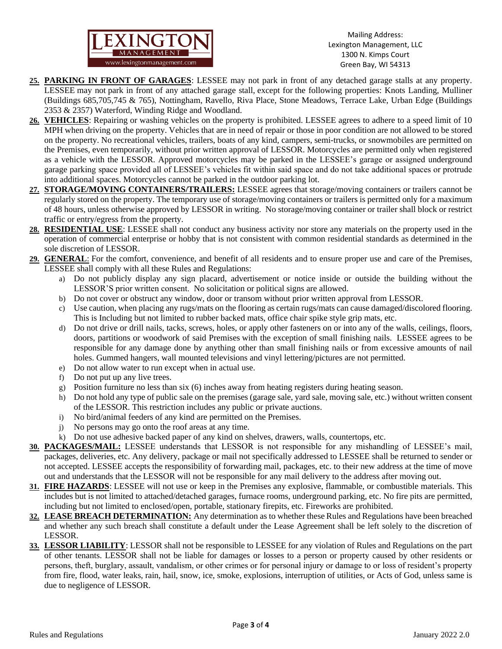

Mailing Address: Lexington Management, LLC 1300 N. Kimps Court Green Bay, WI 54313

- **25. PARKING IN FRONT OF GARAGES**: LESSEE may not park in front of any detached garage stalls at any property. LESSEE may not park in front of any attached garage stall, except for the following properties: Knots Landing, Mulliner (Buildings 685,705,745 & 765), Nottingham, Ravello, Riva Place, Stone Meadows, Terrace Lake, Urban Edge (Buildings 2353 & 2357) Waterford, Winding Ridge and Woodland.
- **26. VEHICLES**: Repairing or washing vehicles on the property is prohibited. LESSEE agrees to adhere to a speed limit of 10 MPH when driving on the property. Vehicles that are in need of repair or those in poor condition are not allowed to be stored on the property. No recreational vehicles, trailers, boats of any kind, campers, semi-trucks, or snowmobiles are permitted on the Premises, even temporarily, without prior written approval of LESSOR. Motorcycles are permitted only when registered as a vehicle with the LESSOR. Approved motorcycles may be parked in the LESSEE's garage or assigned underground garage parking space provided all of LESSEE's vehicles fit within said space and do not take additional spaces or protrude into additional spaces. Motorcycles cannot be parked in the outdoor parking lot.
- **27. STORAGE/MOVING CONTAINERS/TRAILERS:** LESSEE agrees that storage/moving containers or trailers cannot be regularly stored on the property. The temporary use of storage/moving containers or trailers is permitted only for a maximum of 48 hours, unless otherwise approved by LESSOR in writing. No storage/moving container or trailer shall block or restrict traffic or entry/egress from the property.
- **28. RESIDENTIAL USE**: LESSEE shall not conduct any business activity nor store any materials on the property used in the operation of commercial enterprise or hobby that is not consistent with common residential standards as determined in the sole discretion of LESSOR.
- **29. GENERAL**: For the comfort, convenience, and benefit of all residents and to ensure proper use and care of the Premises, LESSEE shall comply with all these Rules and Regulations:
	- a) Do not publicly display any sign placard, advertisement or notice inside or outside the building without the LESSOR'S prior written consent. No solicitation or political signs are allowed.
	- b) Do not cover or obstruct any window, door or transom without prior written approval from LESSOR.
	- c) Use caution, when placing any rugs/mats on the flooring as certain rugs/mats can cause damaged/discolored flooring. This is Including but not limited to rubber backed mats, office chair spike style grip mats, etc.
	- d) Do not drive or drill nails, tacks, screws, holes, or apply other fasteners on or into any of the walls, ceilings, floors, doors, partitions or woodwork of said Premises with the exception of small finishing nails. LESSEE agrees to be responsible for any damage done by anything other than small finishing nails or from excessive amounts of nail holes. Gummed hangers, wall mounted televisions and vinyl lettering/pictures are not permitted.
	- e) Do not allow water to run except when in actual use.
	- f) Do not put up any live trees.
	- g) Position furniture no less than six (6) inches away from heating registers during heating season.
	- h) Do not hold any type of public sale on the premises (garage sale, yard sale, moving sale, etc.) without written consent of the LESSOR. This restriction includes any public or private auctions.
	- i) No bird/animal feeders of any kind are permitted on the Premises.
	- j) No persons may go onto the roof areas at any time.
	- k) Do not use adhesive backed paper of any kind on shelves, drawers, walls, countertops, etc.
- **30. PACKAGES/MAIL:** LESSEE understands that LESSOR is not responsible for any mishandling of LESSEE's mail, packages, deliveries, etc. Any delivery, package or mail not specifically addressed to LESSEE shall be returned to sender or not accepted. LESSEE accepts the responsibility of forwarding mail, packages, etc. to their new address at the time of move out and understands that the LESSOR will not be responsible for any mail delivery to the address after moving out.
- **31. FIRE HAZARDS**: LESSEE will not use or keep in the Premises any explosive, flammable, or combustible materials. This includes but is not limited to attached/detached garages, furnace rooms, underground parking, etc. No fire pits are permitted, including but not limited to enclosed/open, portable, stationary firepits, etc. Fireworks are prohibited.
- **32. LEASE BREACH DETERMINATION:** Any determination as to whether these Rules and Regulations have been breached and whether any such breach shall constitute a default under the Lease Agreement shall be left solely to the discretion of LESSOR.
- **33. LESSOR LIABILITY**: LESSOR shall not be responsible to LESSEE for any violation of Rules and Regulations on the part of other tenants. LESSOR shall not be liable for damages or losses to a person or property caused by other residents or persons, theft, burglary, assault, vandalism, or other crimes or for personal injury or damage to or loss of resident's property from fire, flood, water leaks, rain, hail, snow, ice, smoke, explosions, interruption of utilities, or Acts of God, unless same is due to negligence of LESSOR.